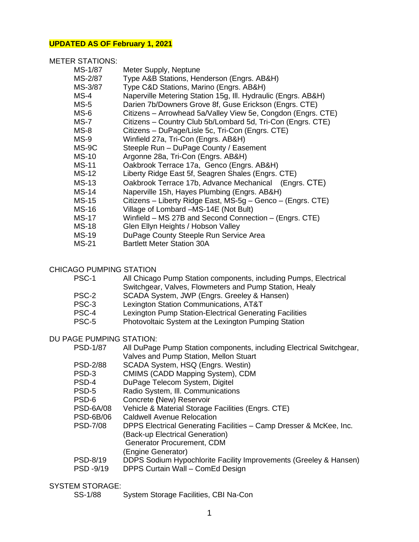#### **UPDATED AS OF February 1, 2021**

### METER STATIONS:

| MS-1/87      | Meter Supply, Neptune                                         |
|--------------|---------------------------------------------------------------|
| MS-2/87      | Type A&B Stations, Henderson (Engrs. AB&H)                    |
| MS-3/87      | Type C&D Stations, Marino (Engrs. AB&H)                       |
| $MS-4$       | Naperville Metering Station 15g, Ill. Hydraulic (Engrs. AB&H) |
| $MS-5$       | Darien 7b/Downers Grove 8f, Guse Erickson (Engrs. CTE)        |
| $MS-6$       | Citizens - Arrowhead 5a/Valley View 5e, Congdon (Engrs. CTE)  |
| $MS-7$       | Citizens - Country Club 5b/Lombard 5d, Tri-Con (Engrs. CTE)   |
| $MS-8$       | Citizens - DuPage/Lisle 5c, Tri-Con (Engrs. CTE)              |
| $MS-9$       | Winfield 27a, Tri-Con (Engrs. AB&H)                           |
| MS-9C        | Steeple Run - DuPage County / Easement                        |
| <b>MS-10</b> | Argonne 28a, Tri-Con (Engrs. AB&H)                            |
| <b>MS-11</b> | Oakbrook Terrace 17a, Genco (Engrs. AB&H)                     |
| <b>MS-12</b> | Liberty Ridge East 5f, Seagren Shales (Engrs. CTE)            |
| <b>MS-13</b> | Oakbrook Terrace 17b, Advance Mechanical (Engrs. CTE)         |
| <b>MS-14</b> | Naperville 15h, Hayes Plumbing (Engrs. AB&H)                  |
| <b>MS-15</b> | Citizens – Liberty Ridge East, MS-5g – Genco – (Engrs. CTE)   |
| MS-16        | Village of Lombard -MS-14E (Not Bult)                         |
| <b>MS-17</b> | Winfield - MS 27B and Second Connection - (Engrs. CTE)        |
| <b>MS-18</b> | Glen Ellyn Heights / Hobson Valley                            |
| <b>MS-19</b> | DuPage County Steeple Run Service Area                        |
| <b>MS-21</b> | <b>Bartlett Meter Station 30A</b>                             |

#### CHICAGO PUMPING STATION

| PSC-1 |  |  |  |  | All Chicago Pump Station components, including Pumps, Electrical |
|-------|--|--|--|--|------------------------------------------------------------------|
|       |  |  |  |  |                                                                  |

- Switchgear, Valves, Flowmeters and Pump Station, Healy
- PSC-2 SCADA System, JWP (Engrs. Greeley & Hansen)
- PSC-3 Lexington Station Communications, AT&T
- PSC-4 Lexington Pump Station-Electrical Generating Facilities
- PSC-5 Photovoltaic System at the Lexington Pumping Station

# DU PAGE PUMPING STATION:<br>PSD-1/87 All DuPage

- All DuPage Pump Station components, including Electrical Switchgear, Valves and Pump Station, Mellon Stuart
- PSD-2/88 SCADA System, HSQ (Engrs. Westin)
- PSD-3 CMIMS (CADD Mapping System), CDM
- PSD-4 DuPage Telecom System, Digitel
- PSD-5 Radio System, Ill. Communications
- PSD-6 Concrete **(**New) Reservoir
- PSD-6A/08 Vehicle & Material Storage Facilities (Engrs. CTE)
- PSD-6B/06 Caldwell Avenue Relocation
- PSD-7/08 DPPS Electrical Generating Facilities Camp Dresser & McKee, Inc.
	- (Back-up Electrical Generation)
	- Generator Procurement, CDM

(Engine Generator)

- PSD-8/19 DDPS Sodium Hypochlorite Facility Improvements (Greeley & Hansen)
- PSD -9/19 DPPS Curtain Wall ComEd Design

## SYSTEM STORAGE:

SS-1/88 System Storage Facilities, CBI Na-Con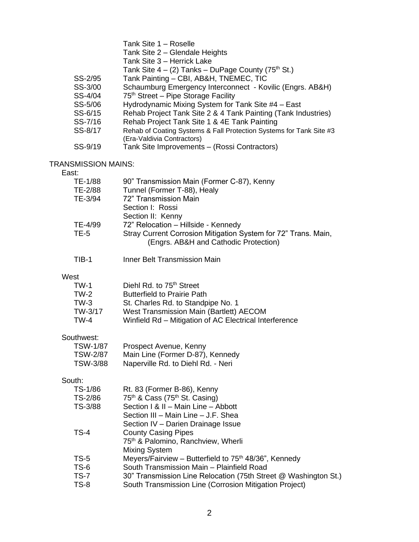|         | Tank Site 1 - Roselle                                               |
|---------|---------------------------------------------------------------------|
|         | Tank Site 2 - Glendale Heights                                      |
|         | Tank Site 3 - Herrick Lake                                          |
|         | Tank Site $4 - (2)$ Tanks – DuPage County (75 <sup>th</sup> St.)    |
| SS-2/95 | Tank Painting - CBI, AB&H, TNEMEC, TIC                              |
| SS-3/00 | Schaumburg Emergency Interconnect - Kovilic (Engrs. AB&H)           |
| SS-4/04 | 75 <sup>th</sup> Street – Pipe Storage Facility                     |
| SS-5/06 | Hydrodynamic Mixing System for Tank Site #4 - East                  |
| SS-6/15 | Rehab Project Tank Site 2 & 4 Tank Painting (Tank Industries)       |
| SS-7/16 | Rehab Project Tank Site 1 & 4E Tank Painting                        |
| SS-8/17 | Rehab of Coating Systems & Fall Protection Systems for Tank Site #3 |
|         | (Era-Valdivia Contractors)                                          |
| SS-9/19 | Tank Site Improvements - (Rossi Contractors)                        |

## TRANSMISSION MAINS:

#### East:

| TE-1/88 | 90" Transmission Main (Former C-87), Kenny                     |
|---------|----------------------------------------------------------------|
| TE-2/88 | Tunnel (Former T-88), Healy                                    |
| TE-3/94 | 72" Transmission Main                                          |
|         | Section I: Rossi                                               |
|         | Section II: Kenny                                              |
| TE-4/99 | 72" Relocation - Hillside - Kennedy                            |
| $TE-5$  | Stray Current Corrosion Mitigation System for 72" Trans. Main, |
|         | (Engrs. AB&H and Cathodic Protection)                          |
| TIB-1   | <b>Inner Belt Transmission Main</b>                            |

## West

| TW-1    | Diehl Rd. to 75 <sup>th</sup> Street                   |
|---------|--------------------------------------------------------|
| TW-2    | <b>Butterfield to Prairie Path</b>                     |
| TW-3    | St. Charles Rd. to Standpipe No. 1                     |
| TW-3/17 | West Transmission Main (Bartlett) AECOM                |
| TW-4    | Winfield Rd – Mitigation of AC Electrical Interference |

## Southwest:

| <b>TSW-1/87</b> | Prospect Avenue, Kenny             |
|-----------------|------------------------------------|
| <b>TSW-2/87</b> | Main Line (Former D-87), Kennedy   |
| TSW-3/88        | Naperville Rd. to Diehl Rd. - Neri |

## South:

| TS-1/86     | Rt. 83 (Former B-86), Kenny                                       |
|-------------|-------------------------------------------------------------------|
| TS-2/86     | 75 <sup>th</sup> & Cass (75 <sup>th</sup> St. Casing)             |
| TS-3/88     | Section I & II - Main Line - Abbott                               |
|             | Section III - Main Line - J.F. Shea                               |
|             | Section IV - Darien Drainage Issue                                |
| TS-4        | <b>County Casing Pipes</b>                                        |
|             | 75 <sup>th</sup> & Palomino, Ranchview, Wherli                    |
|             | Mixing System                                                     |
| <b>TS-5</b> | Meyers/Fairview - Butterfield to 75 <sup>th</sup> 48/36", Kennedy |
| <b>TS-6</b> | South Transmission Main - Plainfield Road                         |
| <b>TS-7</b> | 30" Transmission Line Relocation (75th Street @ Washington St.)   |
| TS-8        | South Transmission Line (Corrosion Mitigation Project)            |
|             |                                                                   |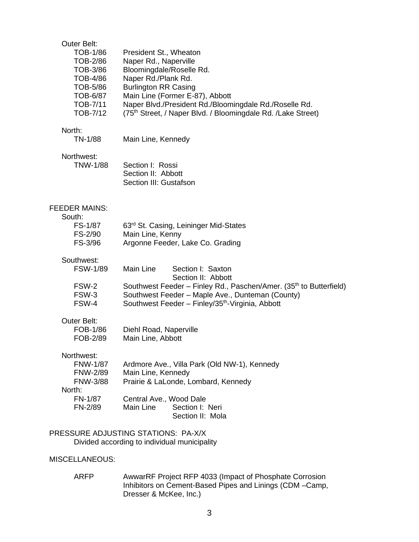| <b>Outer Belt:</b><br><b>TOB-1/86</b><br><b>TOB-2/86</b><br>TOB-3/86<br>TOB-4/86<br>TOB-5/86<br>TOB-6/87<br>TOB-7/11<br>TOB-7/12 | President St., Wheaton<br>Naper Rd., Naperville<br>Bloomingdale/Roselle Rd.<br>Naper Rd./Plank Rd.<br><b>Burlington RR Casing</b><br>Main Line (Former E-87), Abbott<br>Naper Blvd./President Rd./Bloomingdale Rd./Roselle Rd.<br>(75 <sup>th</sup> Street, / Naper Blvd. / Bloomingdale Rd. /Lake Street) |
|----------------------------------------------------------------------------------------------------------------------------------|------------------------------------------------------------------------------------------------------------------------------------------------------------------------------------------------------------------------------------------------------------------------------------------------------------|
| North:<br>TN-1/88                                                                                                                | Main Line, Kennedy                                                                                                                                                                                                                                                                                         |
| Northwest:<br><b>TNW-1/88</b>                                                                                                    | Section I: Rossi<br>Section II: Abbott<br>Section III: Gustafson                                                                                                                                                                                                                                           |
| <b>FEEDER MAINS:</b><br>South:<br>FS-1/87<br>FS-2/90<br>FS-3/96                                                                  | 63 <sup>rd</sup> St. Casing, Leininger Mid-States<br>Main Line, Kenny<br>Argonne Feeder, Lake Co. Grading                                                                                                                                                                                                  |
| Southwest:<br><b>FSW-1/89</b><br>FSW-2<br>FSW-3<br>FSW-4                                                                         | Main Line<br>Section I: Saxton<br>Section II: Abbott<br>Southwest Feeder – Finley Rd., Paschen/Amer. (35 <sup>th</sup> to Butterfield)<br>Southwest Feeder - Maple Ave., Dunteman (County)<br>Southwest Feeder - Finley/35 <sup>th</sup> -Virginia, Abbott                                                 |
| <b>Outer Belt:</b><br>FOB-1/86<br>FOB-2/89                                                                                       | Diehl Road, Naperville<br>Main Line, Abbott                                                                                                                                                                                                                                                                |
| Northwest:<br><b>FNW-1/87</b><br><b>FNW-2/89</b><br><b>FNW-3/88</b><br>North:<br><b>FN-1/87</b><br>FN-2/89                       | Ardmore Ave., Villa Park (Old NW-1), Kennedy<br>Main Line, Kennedy<br>Prairie & LaLonde, Lombard, Kennedy<br>Central Ave., Wood Dale<br>Main Line<br>Section I: Neri<br>Section II: Mola                                                                                                                   |
|                                                                                                                                  | PRESSURE ADJUSTING STATIONS: PA-X/X<br>Divided according to individual municipality                                                                                                                                                                                                                        |

MISCELLANEOUS:

ARFP AwwarRF Project RFP 4033 (Impact of Phosphate Corrosion Inhibitors on Cement-Based Pipes and Linings (CDM –Camp, Dresser & McKee, Inc.)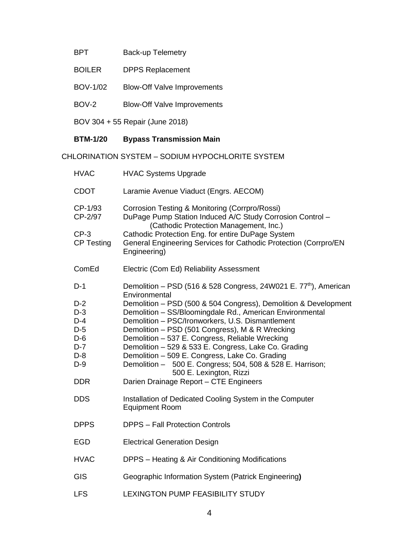# BPT Back-up Telemetry

- BOILER DPPS Replacement
- BOV-1/02 Blow-Off Valve Improvements
- BOV-2 Blow-Off Valve Improvements

BOV 304 + 55 Repair (June 2018)

# **BTM-1/20 Bypass Transmission Main**

CHLORINATION SYSTEM – SODIUM HYPOCHLORITE SYSTEM

| <b>HVAC</b>                                                                                               | <b>HVAC Systems Upgrade</b>                                                                                                                                                                                                                                                                                                                                                                                                                                                                                                                                                                                                                                                                    |
|-----------------------------------------------------------------------------------------------------------|------------------------------------------------------------------------------------------------------------------------------------------------------------------------------------------------------------------------------------------------------------------------------------------------------------------------------------------------------------------------------------------------------------------------------------------------------------------------------------------------------------------------------------------------------------------------------------------------------------------------------------------------------------------------------------------------|
| <b>CDOT</b>                                                                                               | Laramie Avenue Viaduct (Engrs. AECOM)                                                                                                                                                                                                                                                                                                                                                                                                                                                                                                                                                                                                                                                          |
| CP-1/93<br>CP-2/97<br>$CP-3$<br><b>CP Testing</b>                                                         | Corrosion Testing & Monitoring (Corrpro/Rossi)<br>DuPage Pump Station Induced A/C Study Corrosion Control -<br>(Cathodic Protection Management, Inc.)<br>Cathodic Protection Eng. for entire DuPage System<br>General Engineering Services for Cathodic Protection (Corrpro/EN<br>Engineering)                                                                                                                                                                                                                                                                                                                                                                                                 |
| ComEd                                                                                                     | Electric (Com Ed) Reliability Assessment                                                                                                                                                                                                                                                                                                                                                                                                                                                                                                                                                                                                                                                       |
| $D-1$<br>$D-2$<br>$D-3$<br>$D-4$<br>$D-5$<br>$D-6$<br>$D-7$<br>$D-8$<br>$D-9$<br><b>DDR</b><br><b>DDS</b> | Demolition - PSD (516 & 528 Congress, 24W021 E. 77 <sup>th</sup> ), American<br>Environmental<br>Demolition - PSD (500 & 504 Congress), Demolition & Development<br>Demolition - SS/Bloomingdale Rd., American Environmental<br>Demolition - PSC/Ironworkers, U.S. Dismantlement<br>Demolition - PSD (501 Congress), M & R Wrecking<br>Demolition - 537 E. Congress, Reliable Wrecking<br>Demolition - 529 & 533 E. Congress, Lake Co. Grading<br>Demolition - 509 E. Congress, Lake Co. Grading<br>Demolition - 500 E. Congress; 504, 508 & 528 E. Harrison;<br>500 E. Lexington, Rizzi<br>Darien Drainage Report - CTE Engineers<br>Installation of Dedicated Cooling System in the Computer |
|                                                                                                           | <b>Equipment Room</b>                                                                                                                                                                                                                                                                                                                                                                                                                                                                                                                                                                                                                                                                          |
| <b>DPPS</b>                                                                                               | <b>DPPS - Fall Protection Controls</b>                                                                                                                                                                                                                                                                                                                                                                                                                                                                                                                                                                                                                                                         |
| <b>EGD</b>                                                                                                | <b>Electrical Generation Design</b>                                                                                                                                                                                                                                                                                                                                                                                                                                                                                                                                                                                                                                                            |
| <b>HVAC</b>                                                                                               | DPPS - Heating & Air Conditioning Modifications                                                                                                                                                                                                                                                                                                                                                                                                                                                                                                                                                                                                                                                |
| GIS                                                                                                       | Geographic Information System (Patrick Engineering)                                                                                                                                                                                                                                                                                                                                                                                                                                                                                                                                                                                                                                            |
| <b>LFS</b>                                                                                                | LEXINGTON PUMP FEASIBILITY STUDY                                                                                                                                                                                                                                                                                                                                                                                                                                                                                                                                                                                                                                                               |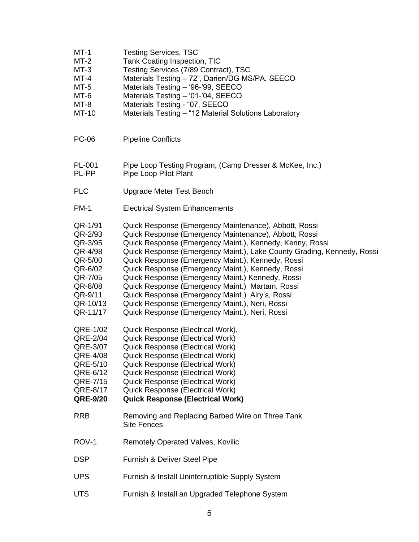| $MT-1$<br>$MT-2$<br>$MT-3$<br>$MT-4$<br>$MT-5$<br>MT-6<br>$MT-8$<br>MT-10                                                                                                           | <b>Testing Services, TSC</b><br>Tank Coating Inspection, TIC<br>Testing Services (7/89 Contract), TSC<br>Materials Testing - 72", Darien/DG MS/PA, SEECO<br>Materials Testing - '96-'99, SEECO<br>Materials Testing - '01-'04, SEECO<br>Materials Testing - "07, SEECO<br>Materials Testing - "12 Material Solutions Laboratory                                                                                                                                                                                                                                                                                                                                                                                                                                                                                                               |
|-------------------------------------------------------------------------------------------------------------------------------------------------------------------------------------|-----------------------------------------------------------------------------------------------------------------------------------------------------------------------------------------------------------------------------------------------------------------------------------------------------------------------------------------------------------------------------------------------------------------------------------------------------------------------------------------------------------------------------------------------------------------------------------------------------------------------------------------------------------------------------------------------------------------------------------------------------------------------------------------------------------------------------------------------|
| <b>PC-06</b>                                                                                                                                                                        | <b>Pipeline Conflicts</b>                                                                                                                                                                                                                                                                                                                                                                                                                                                                                                                                                                                                                                                                                                                                                                                                                     |
| PL-001<br>PL-PP                                                                                                                                                                     | Pipe Loop Testing Program, (Camp Dresser & McKee, Inc.)<br>Pipe Loop Pilot Plant                                                                                                                                                                                                                                                                                                                                                                                                                                                                                                                                                                                                                                                                                                                                                              |
| <b>PLC</b>                                                                                                                                                                          | <b>Upgrade Meter Test Bench</b>                                                                                                                                                                                                                                                                                                                                                                                                                                                                                                                                                                                                                                                                                                                                                                                                               |
| <b>PM-1</b>                                                                                                                                                                         | <b>Electrical System Enhancements</b>                                                                                                                                                                                                                                                                                                                                                                                                                                                                                                                                                                                                                                                                                                                                                                                                         |
| QR-1/91<br>QR-2/93<br>QR-3/95<br>QR-4/98<br>QR-5/00<br>QR-6/02<br>QR-7/05<br>QR-8/08<br>QR-9/11<br>QR-10/13<br>QR-11/17<br>QRE-1/02<br>QRE-2/04<br>QRE-3/07<br>QRE-4/08<br>QRE-5/10 | Quick Response (Emergency Maintenance), Abbott, Rossi<br>Quick Response (Emergency Maintenance), Abbott, Rossi<br>Quick Response (Emergency Maint.), Kennedy, Kenny, Rossi<br>Quick Response (Emergency Maint.), Lake County Grading, Kennedy, Rossi<br>Quick Response (Emergency Maint.), Kennedy, Rossi<br>Quick Response (Emergency Maint.), Kennedy, Rossi<br>Quick Response (Emergency Maint.) Kennedy, Rossi<br>Quick Response (Emergency Maint.) Martam, Rossi<br>Quick Response (Emergency Maint.) Airy's, Rossi<br>Quick Response (Emergency Maint.), Neri, Rossi<br>Quick Response (Emergency Maint.), Neri, Rossi<br>Quick Response (Electrical Work),<br><b>Quick Response (Electrical Work)</b><br><b>Quick Response (Electrical Work)</b><br><b>Quick Response (Electrical Work)</b><br><b>Quick Response (Electrical Work)</b> |
| QRE-6/12<br>QRE-7/15<br>QRE-8/17<br><b>QRE-9/20</b>                                                                                                                                 | <b>Quick Response (Electrical Work)</b><br><b>Quick Response (Electrical Work)</b><br><b>Quick Response (Electrical Work)</b><br><b>Quick Response (Electrical Work)</b>                                                                                                                                                                                                                                                                                                                                                                                                                                                                                                                                                                                                                                                                      |
| <b>RRB</b>                                                                                                                                                                          | Removing and Replacing Barbed Wire on Three Tank<br><b>Site Fences</b>                                                                                                                                                                                                                                                                                                                                                                                                                                                                                                                                                                                                                                                                                                                                                                        |
| ROV-1                                                                                                                                                                               | <b>Remotely Operated Valves, Kovilic</b>                                                                                                                                                                                                                                                                                                                                                                                                                                                                                                                                                                                                                                                                                                                                                                                                      |
| <b>DSP</b>                                                                                                                                                                          | Furnish & Deliver Steel Pipe                                                                                                                                                                                                                                                                                                                                                                                                                                                                                                                                                                                                                                                                                                                                                                                                                  |
| <b>UPS</b>                                                                                                                                                                          | Furnish & Install Uninterruptible Supply System                                                                                                                                                                                                                                                                                                                                                                                                                                                                                                                                                                                                                                                                                                                                                                                               |
| <b>UTS</b>                                                                                                                                                                          | Furnish & Install an Upgraded Telephone System                                                                                                                                                                                                                                                                                                                                                                                                                                                                                                                                                                                                                                                                                                                                                                                                |